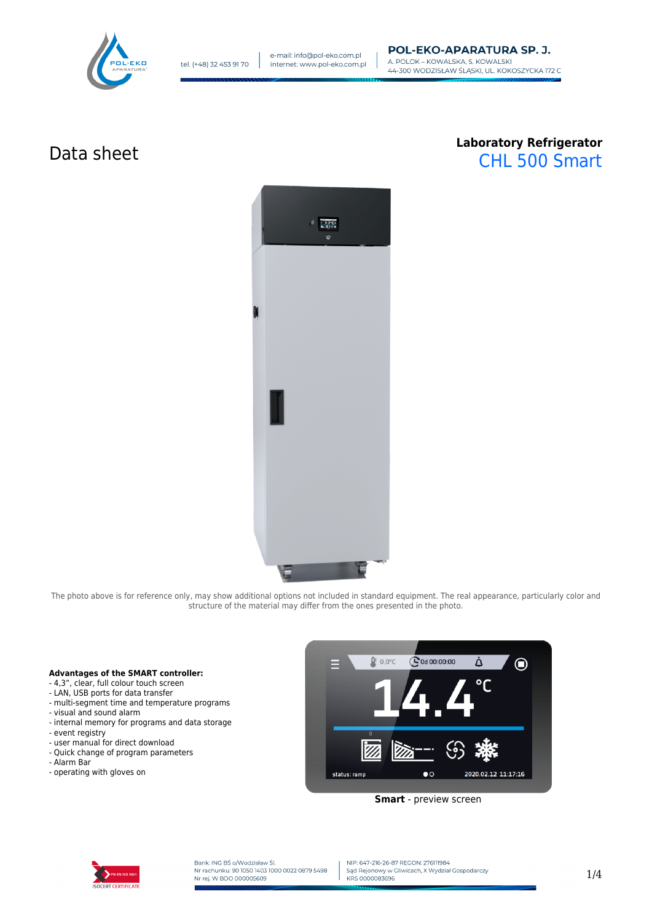

# Data sheet **Laboratory Refrigerator** CHL 500 Smart



The photo above is for reference only, may show additional options not included in standard equipment. The real appearance, particularly color and structure of the material may differ from the ones presented in the photo.

## **Advantages of the SMART controller:**

- 4,3", clear, full colour touch screen
- LAN, USB ports for data transfer
- multi-segment time and temperature programs
- visual and sound alarm
- internal memory for programs and data storage
- event registry
- user manual for direct download
- Quick change of program parameters
- Alarm Bar
- operating with gloves on



**Smart** - preview screen



Bank: ING BŚ o/Wodzisław Śl.<br>Nr rachunku: 90 1050 1403 1000 0022 0879 5498 Nr rej. W BDO 000005609

NIP: 647-216-26-87 REGON: 276111984 Sąd Rejonowy w Gliwicach, X Wydział Gospodarczy KRS 0000083696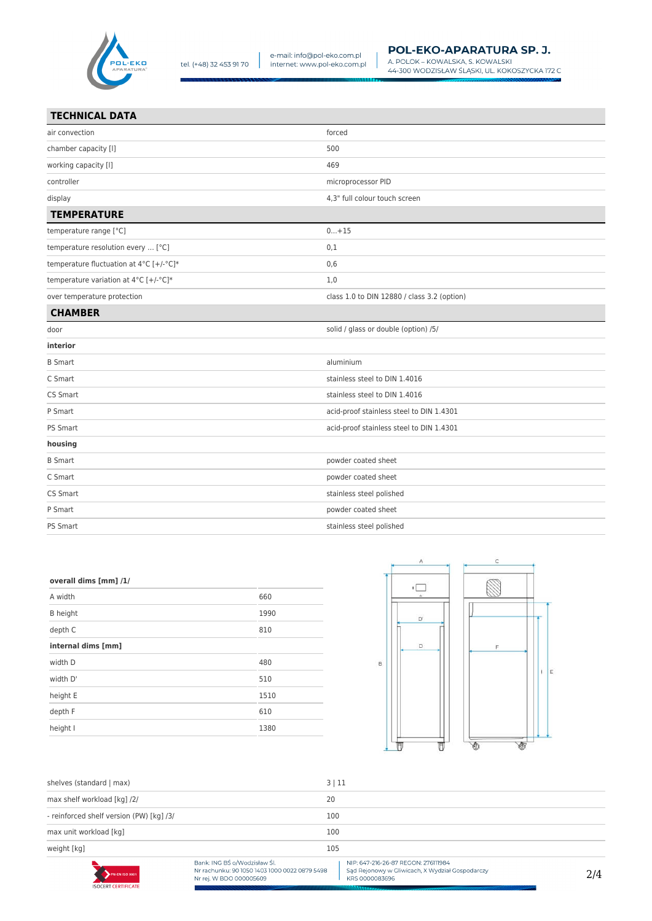

| <b>TECHNICAL DATA</b>                   |                                             |
|-----------------------------------------|---------------------------------------------|
| air convection                          | forced                                      |
| chamber capacity [I]                    | 500                                         |
| working capacity [I]                    | 469                                         |
| controller                              | microprocessor PID                          |
| display                                 | 4.3" full colour touch screen               |
| <b>TEMPERATURE</b>                      |                                             |
| temperature range [°C]                  | $0+15$                                      |
| temperature resolution every  [°C]      | 0,1                                         |
| temperature fluctuation at 4°C [+/-°C]* | 0,6                                         |
| temperature variation at 4°C [+/-°C]*   | 1,0                                         |
| over temperature protection             | class 1.0 to DIN 12880 / class 3.2 (option) |
| <b>CHAMBER</b>                          |                                             |

| <b>CHAMBER</b>  |                                          |
|-----------------|------------------------------------------|
| door            | solid / glass or double (option) /5/     |
| interior        |                                          |
| <b>B</b> Smart  | aluminium                                |
| C Smart         | stainless steel to DIN 1.4016            |
| CS Smart        | stainless steel to DIN 1.4016            |
| P Smart         | acid-proof stainless steel to DIN 1.4301 |
| <b>PS Smart</b> | acid-proof stainless steel to DIN 1.4301 |
| housing         |                                          |
| <b>B</b> Smart  | powder coated sheet                      |
| C Smart         | powder coated sheet                      |
| CS Smart        | stainless steel polished                 |
| P Smart         | powder coated sheet                      |
| PS Smart        | stainless steel polished                 |

### overall dims [mm] /1/

| A width            | 660  |
|--------------------|------|
| <b>B</b> height    | 1990 |
| depth C            | 810  |
| internal dims [mm] |      |
| width D            | 480  |
| width D'           | 510  |
| height E           | 1510 |
| depth F            | 610  |
| height I           | 1380 |



| shelves (standard   max)                 | 3 11                                                                                                     |                                                                                                          |     |
|------------------------------------------|----------------------------------------------------------------------------------------------------------|----------------------------------------------------------------------------------------------------------|-----|
| max shelf workload [kg] /2/              |                                                                                                          | 20<br>100                                                                                                |     |
| - reinforced shelf version (PW) [kg] /3/ |                                                                                                          |                                                                                                          |     |
| max unit workload [kq]                   | 100                                                                                                      |                                                                                                          |     |
| weight [kg]                              | 105                                                                                                      |                                                                                                          |     |
| PN-EN ISO 9001                           | Bank: ING BŚ o/Wodzisław Śl.<br>Nr rachunku: 90 1050 1403 1000 0022 0879 5498<br>Nr rej. W BDO 000005609 | NIP: 647-216-26-87 REGON: 276111984<br>Sąd Rejonowy w Gliwicach, X Wydział Gospodarczy<br>KRS 0000083696 | 2/4 |
| <b>ISOCERT CERTIFICATE</b>               |                                                                                                          | <b>Alliannonce</b>                                                                                       |     |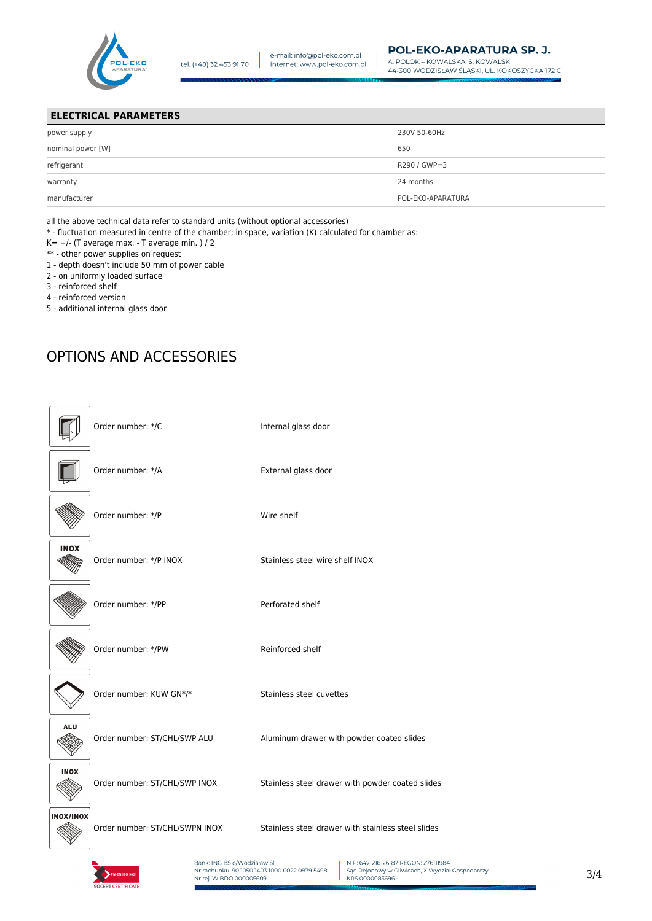

## **ELECTRICAL PARAMETERS**

| power supply      | 230V 50-60Hz      |
|-------------------|-------------------|
| nominal power [W] | 650               |
| refrigerant       | R290 / GWP=3      |
| warranty          | 24 months         |
| manufacturer      | POL-EKO-APARATURA |

all the above technical data refer to standard units (without optional accessories)

\* - fluctuation measured in centre of the chamber; in space, variation (K) calculated for chamber as:

- $K= +/-$  (T average max. T average min. ) / 2
- \*\* other power supplies on request
- 1 depth doesn't include 50 mm of power cable
- 2 on uniformly loaded surface
- 3 reinforced shelf
- 4 reinforced version
- 5 additional internal glass door

# OPTIONS AND ACCESSORIES

|                  | Order number: */C              | Internal glass door                                |
|------------------|--------------------------------|----------------------------------------------------|
|                  | Order number: */A              | External glass door                                |
|                  | Order number: */P              | Wire shelf                                         |
| <b>INOX</b>      | Order number: */P INOX         | Stainless steel wire shelf INOX                    |
|                  | Order number: */PP             | Perforated shelf                                   |
|                  | Order number: */PW             | Reinforced shelf                                   |
|                  | Order number: KUW GN*/*        | Stainless steel cuvettes                           |
| <b>ALU</b>       | Order number: ST/CHL/SWP ALU   | Aluminum drawer with powder coated slides          |
| <b>INOX</b>      | Order number: ST/CHL/SWP INOX  | Stainless steel drawer with powder coated slides   |
| <b>INOX/INOX</b> | Order number: ST/CHL/SWPN INOX | Stainless steel drawer with stainless steel slides |



Bank: ING BŚ o/Wodzisław Śl.<br>Nr rachunku: 90 1050 1403 1000 0022 0879 5498 Nr rej. W BDO 000005609

NIP: 647-216-26-87 REGON: 276111984 Sale Rejonowy w Gliwicach, X Wydział Gospodarczy<br>KRS 0000083696